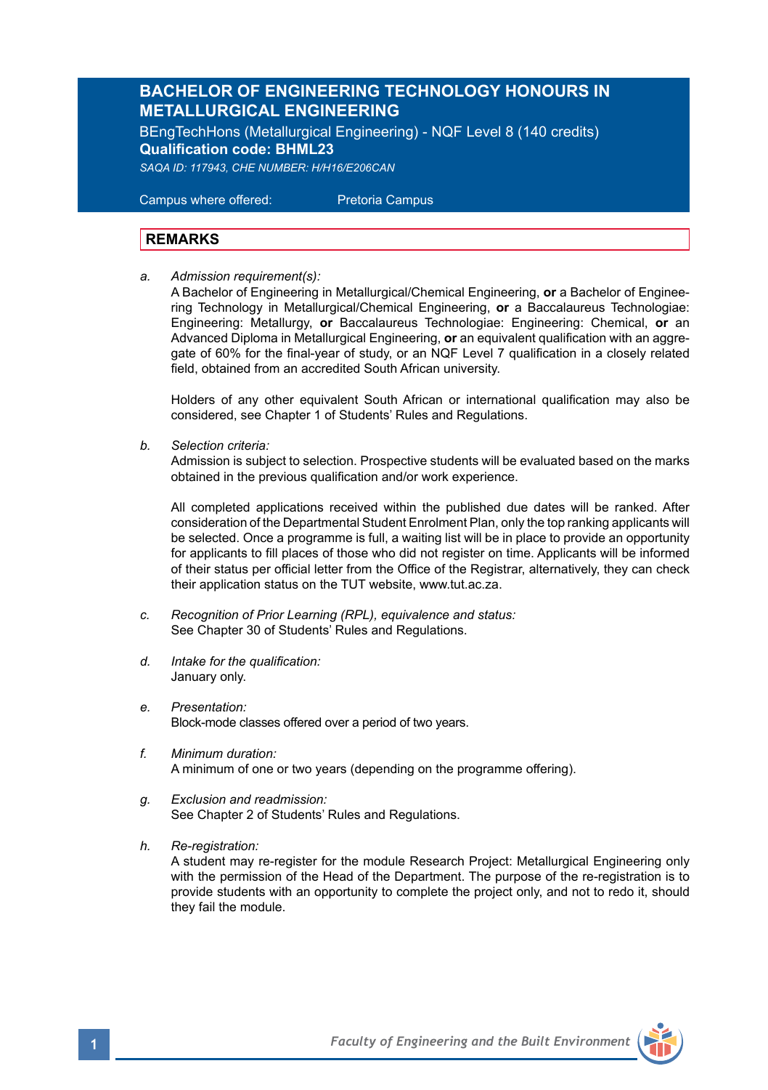# **BACHELOR OF ENGINEERING TECHNOLOGY HONOURS IN METALLURGICAL ENGINEERING**

BEngTechHons (Metallurgical Engineering) - NQF Level 8 (140 credits) **Qualification code: BHML23** *SAQA ID: 117943, CHE NUMBER: H/H16/E206CAN*

 Campus where offered: Pretoria Campus

### **REMARKS**

*a. Admission requirement(s):*

A Bachelor of Engineering in Metallurgical/Chemical Engineering, **or** a Bachelor of Engineering Technology in Metallurgical/Chemical Engineering, **or** a Baccalaureus Technologiae: Engineering: Metallurgy, **or** Baccalaureus Technologiae: Engineering: Chemical, **or** an Advanced Diploma in Metallurgical Engineering, **or** an equivalent qualification with an aggregate of 60% for the final-year of study, or an NQF Level 7 qualification in a closely related field, obtained from an accredited South African university.

Holders of any other equivalent South African or international qualification may also be considered, see Chapter 1 of Students' Rules and Regulations.

*b. Selection criteria:*

Admission is subject to selection. Prospective students will be evaluated based on the marks obtained in the previous qualification and/or work experience.

All completed applications received within the published due dates will be ranked. After consideration of the Departmental Student Enrolment Plan, only the top ranking applicants will be selected. Once a programme is full, a waiting list will be in place to provide an opportunity for applicants to fill places of those who did not register on time. Applicants will be informed of their status per official letter from the Office of the Registrar, alternatively, they can check their application status on the TUT website, www.tut.ac.za.

- *c. Recognition of Prior Learning (RPL), equivalence and status:* See Chapter 30 of Students' Rules and Regulations.
- *d. Intake for the qualification:* January only.
- *e. Presentation:*  Block-mode classes offered over a period of two years.
- *f. Minimum duration:* A minimum of one or two years (depending on the programme offering).
- *g. Exclusion and readmission:* See Chapter 2 of Students' Rules and Regulations.
- *h. Re-registration:*

A student may re-register for the module Research Project: Metallurgical Engineering only with the permission of the Head of the Department. The purpose of the re-registration is to provide students with an opportunity to complete the project only, and not to redo it, should they fail the module.

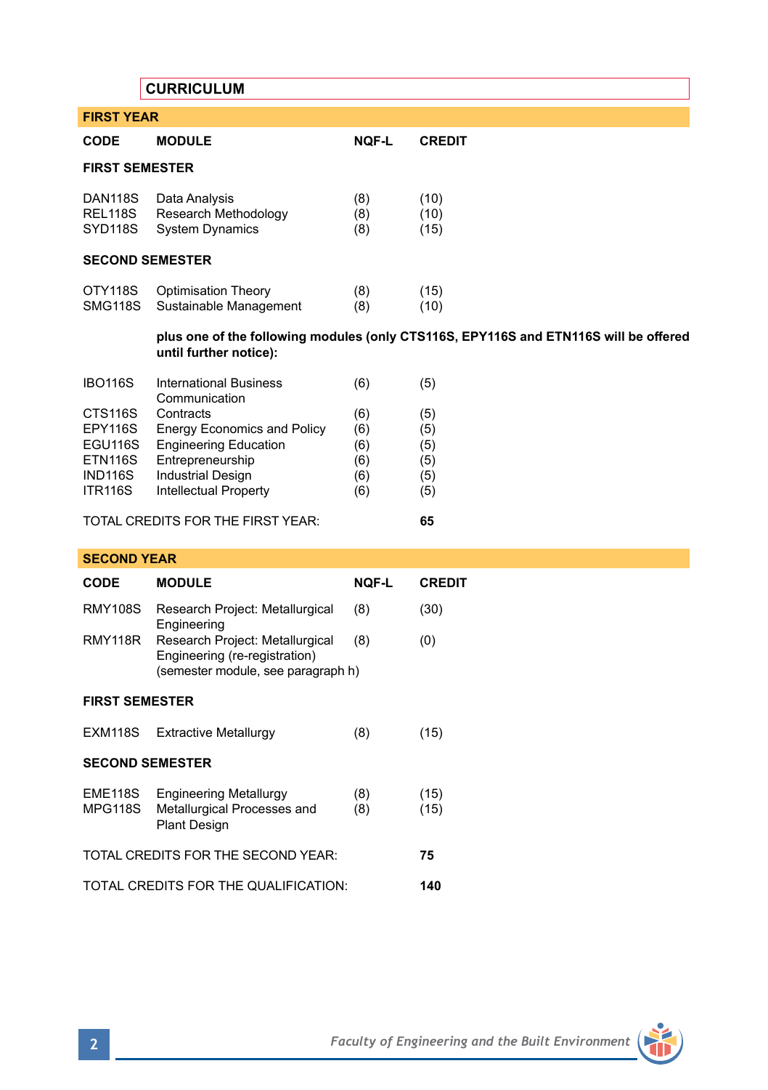|                                                                                           | <b>CURRICULUM</b>                                                                                                                                                                |                                        |                                        |
|-------------------------------------------------------------------------------------------|----------------------------------------------------------------------------------------------------------------------------------------------------------------------------------|----------------------------------------|----------------------------------------|
| <b>FIRST YEAR</b>                                                                         |                                                                                                                                                                                  |                                        |                                        |
| <b>CODE</b>                                                                               | <b>MODULE</b>                                                                                                                                                                    | NQF-L                                  | <b>CREDIT</b>                          |
| <b>FIRST SEMESTER</b>                                                                     |                                                                                                                                                                                  |                                        |                                        |
| <b>DAN118S</b><br><b>REL118S</b><br>SYD118S                                               | Data Analysis<br>Research Methodology<br><b>System Dynamics</b>                                                                                                                  | (8)<br>(8)<br>(8)                      | (10)<br>(10)<br>(15)                   |
| <b>SECOND SEMESTER</b>                                                                    |                                                                                                                                                                                  |                                        |                                        |
| OTY118S<br><b>SMG118S</b>                                                                 | <b>Optimisation Theory</b><br>Sustainable Management                                                                                                                             | (8)<br>(8)                             | (15)<br>(10)                           |
|                                                                                           | plus one of the following modules (only CTS116S, EPY116S and ETN116S will be offered<br>until further notice):                                                                   |                                        |                                        |
| <b>IBO116S</b>                                                                            | <b>International Business</b>                                                                                                                                                    | (6)                                    | (5)                                    |
| CTS <sub>116</sub> S<br>EPY116S<br>EGU116S<br><b>ETN116S</b><br>IND116S<br><b>ITR116S</b> | Communication<br>Contracts<br><b>Energy Economics and Policy</b><br><b>Engineering Education</b><br>Entrepreneurship<br><b>Industrial Design</b><br><b>Intellectual Property</b> | (6)<br>(6)<br>(6)<br>(6)<br>(6)<br>(6) | (5)<br>(5)<br>(5)<br>(5)<br>(5)<br>(5) |
| TOTAL CREDITS FOR THE FIRST YEAR:                                                         |                                                                                                                                                                                  |                                        | 65                                     |
| <b>SECOND YEAR</b>                                                                        |                                                                                                                                                                                  |                                        |                                        |
| <b>CODE</b>                                                                               | <b>MODULE</b>                                                                                                                                                                    | <b>NQF-L</b>                           | <b>CREDIT</b>                          |
| <b>RMY108S</b>                                                                            | Research Project: Metallurgical<br>Engineering                                                                                                                                   | (8)                                    | (30)                                   |
| RMY118R                                                                                   | Research Project: Metallurgical<br>Engineering (re-registration)<br>(semester module, see paragraph h)                                                                           | (8)                                    | (0)                                    |
| <b>FIRST SEMESTER</b>                                                                     |                                                                                                                                                                                  |                                        |                                        |
| <b>EXM118S</b>                                                                            | <b>Extractive Metallurgy</b>                                                                                                                                                     | (8)                                    | (15)                                   |
| <b>SECOND SEMESTER</b>                                                                    |                                                                                                                                                                                  |                                        |                                        |
| <b>EME118S</b><br>MPG118S                                                                 | <b>Engineering Metallurgy</b><br>Metallurgical Processes and<br><b>Plant Design</b>                                                                                              | (8)<br>(8)                             | (15)<br>(15)                           |
| TOTAL CREDITS FOR THE SECOND YEAR:                                                        |                                                                                                                                                                                  |                                        | 75                                     |
| TOTAL CREDITS FOR THE QUALIFICATION:                                                      |                                                                                                                                                                                  |                                        | 140                                    |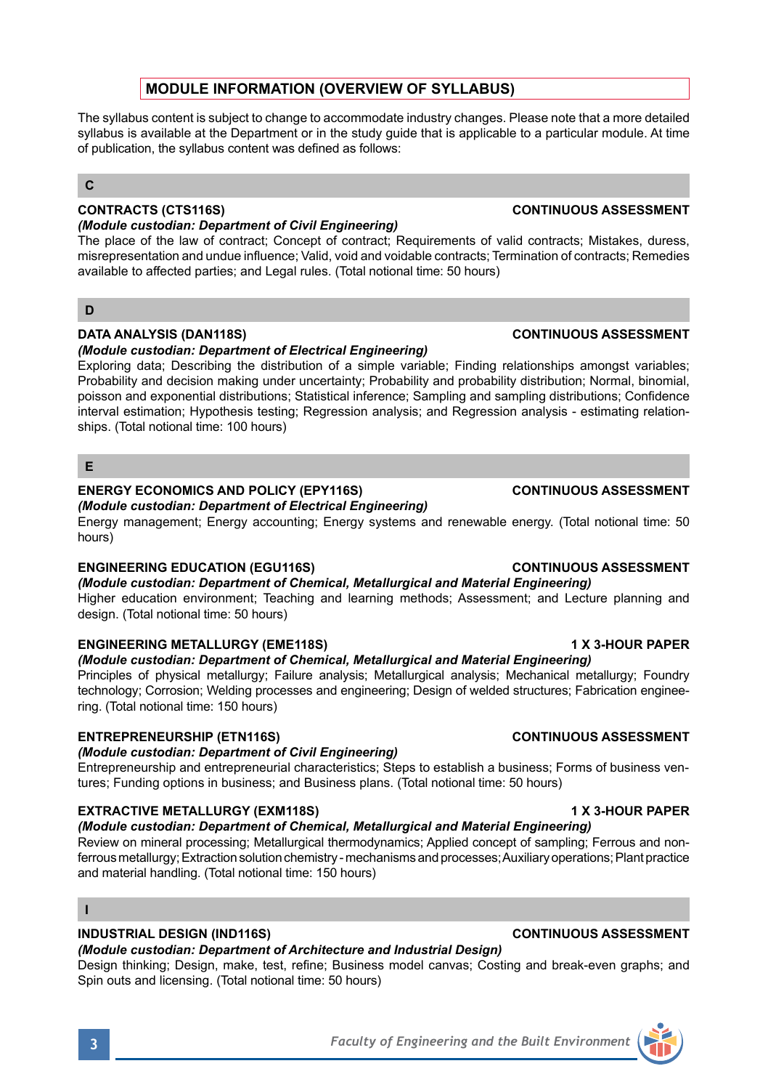# **MODULE INFORMATION (OVERVIEW OF SYLLABUS)**

The syllabus content is subject to change to accommodate industry changes. Please note that a more detailed syllabus is available at the Department or in the study guide that is applicable to a particular module. At time of publication, the syllabus content was defined as follows:

### **C**

# *(Module custodian: Department of Civil Engineering)*

The place of the law of contract; Concept of contract; Requirements of valid contracts; Mistakes, duress, misrepresentation and undue influence; Valid, void and voidable contracts; Termination of contracts; Remedies available to affected parties; and Legal rules. (Total notional time: 50 hours)

### **D**

# **DATA ANALYSIS (DAN118S) CONTINUOUS ASSESSMENT**

### *(Module custodian: Department of Electrical Engineering)*

Exploring data; Describing the distribution of a simple variable; Finding relationships amongst variables; Probability and decision making under uncertainty; Probability and probability distribution; Normal, binomial, poisson and exponential distributions; Statistical inference; Sampling and sampling distributions; Confidence interval estimation; Hypothesis testing; Regression analysis; and Regression analysis - estimating relationships. (Total notional time: 100 hours)

# **E**

## **ENERGY ECONOMICS AND POLICY (EPY116S) CONTINUOUS ASSESSMENT**

### *(Module custodian: Department of Electrical Engineering)*

Energy management; Energy accounting; Energy systems and renewable energy. (Total notional time: 50 hours)

## **ENGINEERING EDUCATION (EGU116S) CONTINUOUS ASSESSMENT**

*(Module custodian: Department of Chemical, Metallurgical and Material Engineering)* Higher education environment; Teaching and learning methods; Assessment; and Lecture planning and design. (Total notional time: 50 hours)

# **ENGINEERING METALLURGY (EME118S) 1 X 3-HOUR PAPER**

*(Module custodian: Department of Chemical, Metallurgical and Material Engineering)*

Principles of physical metallurgy; Failure analysis; Metallurgical analysis; Mechanical metallurgy; Foundry technology; Corrosion; Welding processes and engineering; Design of welded structures; Fabrication engineering. (Total notional time: 150 hours)

## **ENTREPRENEURSHIP (ETN116S) CONTINUOUS ASSESSMENT**

### *(Module custodian: Department of Civil Engineering)*

Entrepreneurship and entrepreneurial characteristics; Steps to establish a business; Forms of business ventures; Funding options in business; and Business plans. (Total notional time: 50 hours)

## **EXTRACTIVE METALLURGY (EXM118S) 1 X 3-HOUR PAPER**

# *(Module custodian: Department of Chemical, Metallurgical and Material Engineering)*

Review on mineral processing; Metallurgical thermodynamics; Applied concept of sampling; Ferrous and nonferrous metallurgy; Extraction solution chemistry - mechanisms and processes; Auxiliary operations; Plant practice and material handling. (Total notional time: 150 hours)

# **I**

# **INDUSTRIAL DESIGN (IND116S) CONTINUOUS ASSESSMENT**

# *(Module custodian: Department of Architecture and Industrial Design)*

Design thinking; Design, make, test, refine; Business model canvas; Costing and break-even graphs; and Spin outs and licensing. (Total notional time: 50 hours)

## **CONTRACTS (CTS116S) CONTINUOUS ASSESSMENT**